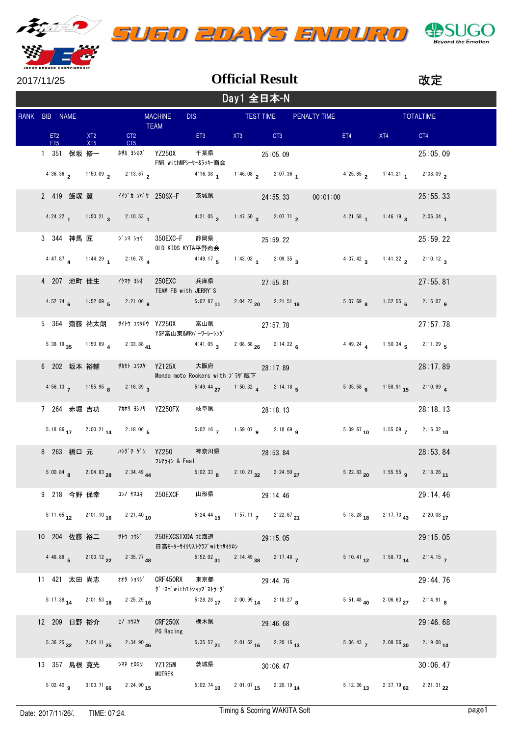

|  | UGO 2DAYS ENDURO |  |
|--|------------------|--|



| 2017/11/25    |         |              |                                                      |                                                                      |                          |            | <b>Official Result</b>                                                                                                                                        |          |                                                                                                                                                                                                                                |                                                                   | 改定               |
|---------------|---------|--------------|------------------------------------------------------|----------------------------------------------------------------------|--------------------------|------------|---------------------------------------------------------------------------------------------------------------------------------------------------------------|----------|--------------------------------------------------------------------------------------------------------------------------------------------------------------------------------------------------------------------------------|-------------------------------------------------------------------|------------------|
|               |         |              |                                                      |                                                                      |                          | Day1 全日本-N |                                                                                                                                                               |          |                                                                                                                                                                                                                                |                                                                   |                  |
| RANK BIB NAME |         |              |                                                      | <b>MACHINE</b><br>TEAM                                               |                          |            | DIS TEST TIME PENALTY TIME                                                                                                                                    |          |                                                                                                                                                                                                                                |                                                                   | <b>TOTALTIME</b> |
| ET5           | ET2 XT2 | XT5          |                                                      |                                                                      |                          |            | CT2 ET3 XT3 CT3                                                                                                                                               |          | ET4 and the state of the state of the state of the state of the state of the state of the state of the state of the state of the state of the state of the state of the state of the state of the state of the state of the st | XT4                                                               | CT4              |
|               |         |              |                                                      | 1 351 保坂 修一   村カ ヨシカズ YZ250X + 千葉県 25:05.09<br>FNR withMPシーサー&ラッキー商会 |                          |            |                                                                                                                                                               |          |                                                                                                                                                                                                                                |                                                                   | 25:05.09         |
|               |         |              |                                                      |                                                                      |                          |            | 4.36.36 <b>2</b> 1:50.09 <b>2.13.67 <b>2 4.16.38 <b>1</b> 1:46.08 <b>2 2</b>:07.36 <b>1 4.25.85 <b>2</b> 1:41.21 <b>1 2</b>:08.09 <b>2</b></b></b></b>        |          |                                                                                                                                                                                                                                |                                                                   |                  |
|               |         |              |                                                      | 2 419 飯塚 翼 イイヅカ ツバサ 250SX-F                                          |                          |            | 茨城県 24:55.33                                                                                                                                                  | 00:01:00 |                                                                                                                                                                                                                                |                                                                   | 25:55.33         |
|               |         |              |                                                      |                                                                      |                          |            | 4:24.22 1 1:50.21 3 2:10.53 1 4:21.05 2 1:47.50 3 2:07.71 2 4:21.58 1 1:46.19 3 2:06.34 1                                                                     |          |                                                                                                                                                                                                                                |                                                                   |                  |
|               |         |              | 3 344 神馬 匠 ジンマショウ 350EXC-F                           | OLD-KIDS KYT&平野商会                                                    | 静岡県 25:59.22             |            |                                                                                                                                                               |          |                                                                                                                                                                                                                                |                                                                   | 25:59.22         |
|               |         |              |                                                      | 4:47.87 4 1:44.29 1 2:16.75 4                                        |                          |            | 4:49.17 5 1:43.03 1 2:09.35 3                                                                                                                                 |          |                                                                                                                                                                                                                                | 4:37.42 3 1:41.22 2 2:10.12 3                                     |                  |
|               |         |              | 4 207 池町 佳生 イケマチ ヨシオ 250EXC                          | TEAM FB with JERRY'S                                                 | 兵庫県 27:55.81             |            |                                                                                                                                                               |          |                                                                                                                                                                                                                                |                                                                   | 27:55.81         |
|               |         |              |                                                      |                                                                      |                          |            | $4:52.74$ 6 $1:52.09$ 5 $2:21.06$ 9 $5:07.87$ 11 $2:04.23$ 20 $2:21.51$ 18                                                                                    |          |                                                                                                                                                                                                                                | $5:07.69$ $8$ $1:52.55$ $6$ $2:16.07$ $9$                         |                  |
|               |         |              | 5 364 齋藤 祐太朗 #イトウ ユウタロウ YZ250X                       | YSP富山東&WRパーワーレーシング                                                   | 富山県                      |            | 27:57.78                                                                                                                                                      |          |                                                                                                                                                                                                                                |                                                                   | 27:57.78         |
|               |         |              |                                                      |                                                                      |                          |            | 5:38.19 $35$ 1:50.89 $4$ 2:33.88 $41$ 4:41.05 $3$ 2:08.68 $26$ 2:14.22 $6$                                                                                    |          |                                                                                                                                                                                                                                | 4:49.24 1:50.34 5 2:11.29 5                                       |                  |
|               |         |              | 6 202 坂本 裕輔 # # # # # YZ125X                         | Mondo moto Rockers with プラザ阪下                                        | 大阪府 28:17.89             |            |                                                                                                                                                               |          |                                                                                                                                                                                                                                |                                                                   | 28:17.89         |
|               |         |              |                                                      |                                                                      |                          |            | 4:56.13 <b>7</b> 1:55.95 <b>8</b> 2:16.39 <b>3</b> 5:49.44 <b>27</b> 1:50.32 <b>4</b> 2:14.18 <b>5</b>                                                        |          |                                                                                                                                                                                                                                | $5:05.58$ 6 $1:58.91$ 15 $2:10.99$ 4                              |                  |
|               |         |              | 7 264 赤堀 吉功 7カホリ ヨシノリ YZ250FX                        |                                                                      | 岐阜県 28:18.13             |            | 5:18.86 17 2:00.21 14 2:18.06 5 5:02.16 7 1:59.07 9 2:18.69 9 5:09.67 10 1:55.09 7 2:16.32 10                                                                 |          |                                                                                                                                                                                                                                |                                                                   | 28:18.13         |
|               |         |              | 8 263 橋口 元 いがチゲン YZ250                               |                                                                      | 神奈川県                     |            | 28:53.84                                                                                                                                                      |          |                                                                                                                                                                                                                                |                                                                   | 28:53.84         |
|               |         |              |                                                      | フレアライン & Feal                                                        |                          |            | 5:00.84 <b>a</b> 2:04.83 <b>a</b> 2:34.49 <b>44</b> 5:02.33 <b>a</b> 2:10.21 <b>a</b> 2:24.50 <b>a</b> 27 5:22.83 <b>a</b> 1:55.55 <b>a</b> 2:18.26 <b>11</b> |          |                                                                                                                                                                                                                                |                                                                   |                  |
|               |         |              | 9 218 今野 保幸 コンノ ヤスユキ 250EXCF                         |                                                                      | 山形県                      |            | 29:14.46                                                                                                                                                      |          |                                                                                                                                                                                                                                |                                                                   | 29:14.46         |
|               |         |              |                                                      |                                                                      |                          |            | 5:11.65 12 2:01.10 16 2:21.40 10 5:24.44 15 1:57.11 7 2:22.67 21                                                                                              |          |                                                                                                                                                                                                                                | $5:18.28$ 18 $2:17.73$ 43 $2:20.08$ 17                            |                  |
|               |         |              |                                                      | 10 204 佐藤 裕二 サトウ ユウジ 250EXCSIXDA 北海道                                 |                          |            | 29:15.05                                                                                                                                                      |          |                                                                                                                                                                                                                                |                                                                   | 29:15.05         |
|               |         |              | 4:48.88 5 2:03.12 2 2:35.77 48                       |                                                                      | 日高モーターサイクリストクラブwithサイクロン |            | 5:52.02 31 2:14.49 38 2:17.48 7                                                                                                                               |          |                                                                                                                                                                                                                                | 5:10.41 12 1:58.73 14 2:14.15 7                                   |                  |
|               |         | 11 421 太田 尚志 | オオタ ショウジ   CRF450RX                                  |                                                                      | 東京都                      |            | 29:44.76                                                                                                                                                      |          |                                                                                                                                                                                                                                |                                                                   | 29:44.76         |
|               |         |              | $5:17.38$ $14$ $2:01.53$ $18$ $2:25.29$ $16$         | ダースペwithモトショップストラーダ                                                  | $5:28.28$ 17             |            | $2:00.99$ 14 $2:18.27$ 8                                                                                                                                      |          |                                                                                                                                                                                                                                | 5:51.48 40 2:06.63 27 2:14.91 8                                   |                  |
|               |         | 12 209 日野 裕介 | ヒノ ユウスケ                                              | CRF250X<br>PG Racing                                                 | 栃木県                      |            | 29:46.68                                                                                                                                                      |          |                                                                                                                                                                                                                                |                                                                   | 29:46.68         |
|               |         |              | 5:36.25 32 2:04.11 25 2:34.90 46                     |                                                                      |                          |            | $5:35.57$ $21$ $2:01.62$ $16$ $2:20.16$ $13$                                                                                                                  |          |                                                                                                                                                                                                                                | 5:06.43 7 2:08.56 30 2:19.08 14                                   |                  |
|               |         |              | 13 357 島根 寛光   シマネ ヒロミツ                              | <b>YZ125M</b><br>MOTREK                                              | 茨城県                      |            | 30:06.47                                                                                                                                                      |          |                                                                                                                                                                                                                                |                                                                   | 30:06.47         |
|               |         |              | 5:02.40 <b>9</b> 3:03.71 <b>66</b> 2:24.90 <b>15</b> |                                                                      |                          |            | 5:02.74 10 2:01.07 15 2:20.19 14                                                                                                                              |          |                                                                                                                                                                                                                                | 5:12.36 <sub>13</sub> 2:37.79 <sub>62</sub> 2:21.31 <sub>22</sub> |                  |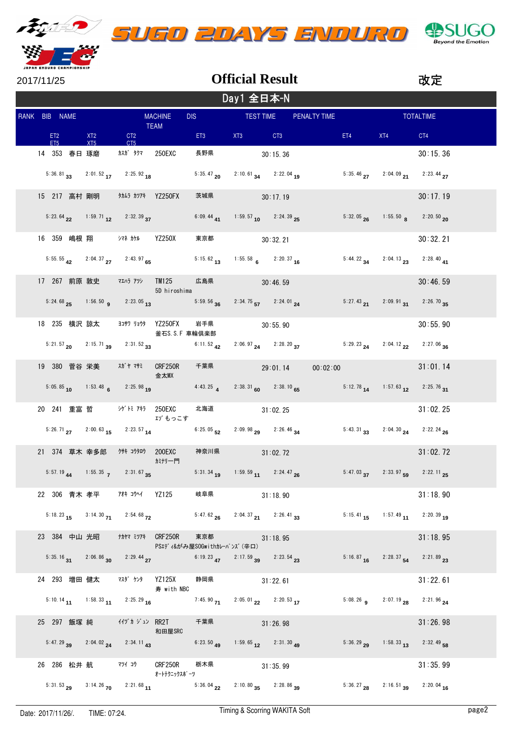

| 2017/11/25 |            |                                    |  |            |                                                             |                                                 |                                                                                                                                                                                                                                |                                                                                                                | <b>Official Result</b>                          |                                                                  |     |                                                      | 改定       |  |
|------------|------------|------------------------------------|--|------------|-------------------------------------------------------------|-------------------------------------------------|--------------------------------------------------------------------------------------------------------------------------------------------------------------------------------------------------------------------------------|----------------------------------------------------------------------------------------------------------------|-------------------------------------------------|------------------------------------------------------------------|-----|------------------------------------------------------|----------|--|
|            | Day1 全日本-N |                                    |  |            |                                                             |                                                 |                                                                                                                                                                                                                                |                                                                                                                |                                                 |                                                                  |     |                                                      |          |  |
|            |            | RANK BIB NAME                      |  |            |                                                             | <b>MACHINE</b><br><b>TEAM</b>                   | DIS TEST TIME                                                                                                                                                                                                                  |                                                                                                                |                                                 | PENALTY TIME                                                     |     | <b>Example 2014 TOTALTIME</b>                        |          |  |
|            |            | ET <sub>2</sub><br>FT <sub>5</sub> |  | XT2<br>XT5 | CT <sub>2</sub><br>CT5                                      |                                                 | ET3 and the state of the state of the state of the state of the state of the state of the state of the state of the state of the state of the state of the state of the state of the state of the state of the state of the st | XT3 and the State of State State of State State of State State State State State State State State State State | CT3                                             |                                                                  | ET4 | XT4                                                  | CT4      |  |
|            |            | 14 353 春日 琢磨                       |  |            | カスカ゛ タクマ 250EXC                                             |                                                 | 長野県                                                                                                                                                                                                                            |                                                                                                                | 30:15.36                                        |                                                                  |     |                                                      | 30:15.36 |  |
|            |            |                                    |  |            | 5:36.81 33 2:01.52 17 2:25.92 18                            |                                                 | $5:35.47$ <sub>20</sub>                                                                                                                                                                                                        |                                                                                                                | $2:10.61$ 34 $2:22.04$ 19                       |                                                                  |     | 5:35.46 $27$ 2:04.09 $21$ 2:23.44 27                 |          |  |
|            |            |                                    |  |            |                                                             |                                                 | 茨城県                                                                                                                                                                                                                            |                                                                                                                | 30:17.19                                        |                                                                  |     |                                                      | 30:17.19 |  |
|            |            |                                    |  |            | 5:23.64 22 1:59.71 12 2:32.39 37                            |                                                 | $6:09.44$ 41                                                                                                                                                                                                                   |                                                                                                                | 1:59.57 10 2:24.39 25                           |                                                                  |     | 5:32.05 26 1:55.50 8 2:20.50 20                      |          |  |
|            |            |                                    |  |            | 16 359 嶋根 翔 シマネ カケル YZ250X                                  |                                                 | 東京都                                                                                                                                                                                                                            |                                                                                                                | 30:32.21                                        |                                                                  |     |                                                      | 30:32.21 |  |
|            |            |                                    |  |            | 5:55.55 $\frac{42}{12}$ 2:04.37 $\frac{27}{127}$ 2:43.97 65 |                                                 | $5:15.62$ 13                                                                                                                                                                                                                   |                                                                                                                | 1:55.58 6 2:20.37 16                            |                                                                  |     | 5:44.22 34 2:04.13 23 2:28.40 41                     |          |  |
|            |            |                                    |  |            | 17 267 前原 敦史 マエハラ アツシ                                       | <b>TM125</b><br>5D hiroshima                    | 広島県 30:46.59                                                                                                                                                                                                                   |                                                                                                                |                                                 |                                                                  |     |                                                      | 30:46.59 |  |
|            |            |                                    |  |            | 5:24.68 $25$ 1:56.50 <b>9</b> 2:23.05 <b>13</b>             |                                                 | $5:59.56$ 36                                                                                                                                                                                                                   |                                                                                                                | $2:34.75$ <sub>57</sub> $2:24.01$ <sub>24</sub> |                                                                  |     | 5:27.43 21 2:09.91 31 2:26.70 35                     |          |  |
|            |            |                                    |  |            |                                                             | 18 235 横沢 諒太 ヨコサワ リョウタ YZ250FX<br>釜石S.S.F 車輪倶楽部 | 岩手県 30:55.90                                                                                                                                                                                                                   |                                                                                                                |                                                 |                                                                  |     |                                                      | 30:55.90 |  |
|            |            |                                    |  |            | $5:21.57$ 20 $2:15.71$ 39 $2:31.52$ 33                      |                                                 | $6:11.52$ <sub>42</sub>                                                                                                                                                                                                        |                                                                                                                |                                                 | $2:06.97$ 24 $2:28.20$ 37 $5:29.23$ 24 $2:04.12$ 22 $2:27.06$ 36 |     |                                                      |          |  |
|            |            |                                    |  |            |                                                             | 金太MX                                            | 千葉県 29:01.14                                                                                                                                                                                                                   |                                                                                                                |                                                 | 00:02:00                                                         |     |                                                      | 31:01.14 |  |
|            |            |                                    |  |            | 5:05.85 10 1:53.48 6 2:25.98 19                             |                                                 | 4:43.25 $\overline{4}$                                                                                                                                                                                                         |                                                                                                                | $2:38.31_{60}$ $2:38.10_{65}$                   |                                                                  |     | $5:12.78$ $14$ $1:57.63$ $12$ $2:25.76$ $31$         |          |  |
|            |            |                                    |  |            | 20 241 重富 哲     シゲトミ アキラ 250EXC                             | エゾもっこす                                          | 北海道 31:02.25                                                                                                                                                                                                                   |                                                                                                                |                                                 |                                                                  |     |                                                      | 31:02.25 |  |
|            |            |                                    |  |            | $5:26.71$ $27$ $2:00.63$ $15$ $2:23.57$ $14$                |                                                 | $6:25.05$ 52                                                                                                                                                                                                                   |                                                                                                                | $2:09.98$ $29$ $2:26.46$ $34$                   |                                                                  |     | $5:43.31$ $33$ $2:04.30$ $24$ $2:22.24$ $26$         |          |  |
|            |            |                                    |  |            |                                                             | カミナリ一門                                          | 神奈川県                                                                                                                                                                                                                           |                                                                                                                | 31:02.72                                        |                                                                  |     |                                                      | 31:02.72 |  |
|            |            |                                    |  |            | 5:57.19 44 1:55.35 7 2:31.67 35                             |                                                 | $5:31.34$ $1.59.59$ $11$ $2:24.47$ $26$                                                                                                                                                                                        |                                                                                                                |                                                 |                                                                  |     | 5:47.03 $37$ 2:33.97 $59$ 2:22.11 $25$               |          |  |
|            |            |                                    |  |            | 22 306 青木 孝平 7# コウヘイ YZ125                                  |                                                 | 岐阜県 いんじんしゃ                                                                                                                                                                                                                     |                                                                                                                | 31:18.90                                        |                                                                  |     |                                                      | 31:18.90 |  |
|            |            |                                    |  |            | 5:18.23 $15$ 3:14.30 $71$ 2:54.68 $72$                      |                                                 | 5:47.62 $_{26}$ 2:04.37 $_{21}$ 2:26.41 $_{33}$                                                                                                                                                                                |                                                                                                                |                                                 |                                                                  |     | 5:15.41 15 1:57.49 11 2:20.39 19                     |          |  |
|            |            |                                    |  |            | 23 384 中山 光昭 ###7 ミツアキ CRF250R                              |                                                 | 東京都 いっかい しんしょう<br>PSエディ&がみ屋SOGwithカレーパンズ(辛口)                                                                                                                                                                                   |                                                                                                                | 31:18.95                                        |                                                                  |     |                                                      | 31:18.95 |  |
|            |            |                                    |  |            | 5:35.16 31 2:06.86 30 2:29.44 27                            |                                                 | 6:19.23 47 2:17.59 39 2:23.54 23                                                                                                                                                                                               |                                                                                                                |                                                 |                                                                  |     | 5:16.87 16 2:28.37 54 2:21.89 23                     |          |  |
|            |            |                                    |  |            | 24 293 増田 健太   マスダ ケンタ   YZ125X                             | 寿 with NBC                                      | 静岡県                                                                                                                                                                                                                            |                                                                                                                | 31:22.61                                        |                                                                  |     |                                                      | 31:22.61 |  |
|            |            |                                    |  |            | 5:10.14 11 1:58.33 11 2:25.29 16                            |                                                 | $7:45.90$ $71$                                                                                                                                                                                                                 |                                                                                                                | $2:05.01$ $22$ $2:20.53$ $17$                   |                                                                  |     | 5:08.26 <b>9</b> 2:07.19 <b>28</b> 2:21.96 <b>24</b> |          |  |
|            |            |                                    |  |            | 25 297 飯塚 純 イイヅカジュン RR2T                                    | 和田屋SRC                                          | 千葉県 31:26.98                                                                                                                                                                                                                   |                                                                                                                |                                                 |                                                                  |     |                                                      | 31:26.98 |  |
|            |            |                                    |  |            | 5:47.29 $39$ 2:04.02 $24$ 2:34.11 $43$                      |                                                 | $6:23.50$ 49                                                                                                                                                                                                                   |                                                                                                                | 1:59.65 $12$ 2:31.30 $49$                       |                                                                  |     | 5:36.29 29 1:58.33 13 2:32.49 58                     |          |  |
|            |            |                                    |  |            | 26 286 松井 航 マツイ コウ CRF250R                                  | オートテクニックスポ゜ーツ                                   | 栃木県                                                                                                                                                                                                                            |                                                                                                                | 31:35.99                                        |                                                                  |     |                                                      | 31:35.99 |  |
|            |            |                                    |  |            |                                                             |                                                 | 5:31.53 29 3:14.26 70 2:21.68 11 5:36.04 22 2:10.80 35 2:28.86 39                                                                                                                                                              |                                                                                                                |                                                 |                                                                  |     | $5:36.27$ $28$ $2:16.51$ $39$ $2:20.04$ 16           |          |  |

**GBS** 

**Beyond the Emotion** 

5O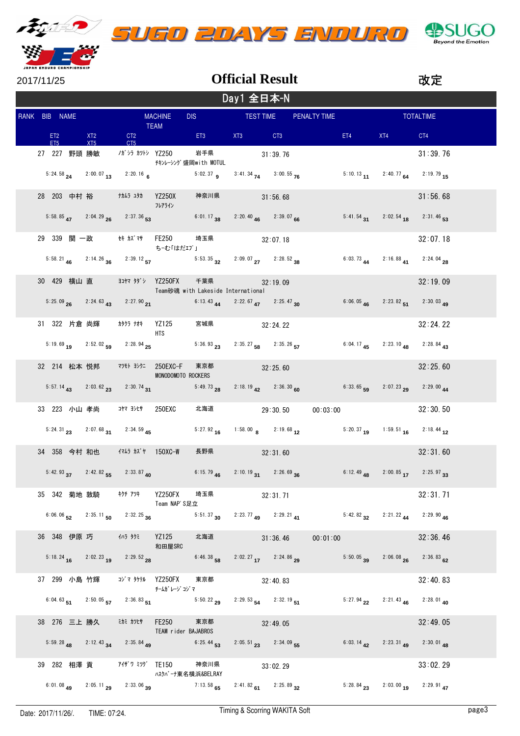

| - - - - - - - - - - |  |  |  |  |  |  |
|---------------------|--|--|--|--|--|--|
|                     |  |  |  |  |  |  |
|                     |  |  |  |  |  |  |
|                     |  |  |  |  |  |  |





|  | 2017/11/25    |              |                                                                        |                              |                                             | <b>Official Result</b>                                                                                      |          |          |                                                                                                                |                                                                      | 改定               |
|--|---------------|--------------|------------------------------------------------------------------------|------------------------------|---------------------------------------------|-------------------------------------------------------------------------------------------------------------|----------|----------|----------------------------------------------------------------------------------------------------------------|----------------------------------------------------------------------|------------------|
|  |               |              |                                                                        |                              |                                             | Day1 全日本-N                                                                                                  |          |          |                                                                                                                |                                                                      |                  |
|  | RANK BIB NAME |              |                                                                        | <b>MACHINE</b>               |                                             | DIS TEST TIME PENALTY TIME                                                                                  |          |          |                                                                                                                |                                                                      | <b>TOTALTIME</b> |
|  | ET2<br>ET5    | XT2<br>XT5   |                                                                        | TEAM<br>CT2<br>CT5           |                                             | ET3 XT3 CT3                                                                                                 |          |          | ET4 and the state of the state of the state of the state of the state of the state of the state of the state o | XT4                                                                  | CT4              |
|  | 27 227 野頭 勝敏  |              |                                                                        | ノガシラ カツトシ YZ250              | 岩手県<br>チキンレーシング盛岡with MOTUL                 |                                                                                                             | 31:39.76 |          |                                                                                                                |                                                                      | 31:39.76         |
|  |               |              | 5:24.58 $24$ 2:00.07 13 2:20.16 6                                      |                              |                                             | 5:02.37 <b>9</b> 3:41.34 <b>74</b> 3:00.55 <b>76</b>                                                        |          |          |                                                                                                                | 5:10.13 11 2:40.77 64 2:19.79 15                                     |                  |
|  |               |              |                                                                        | フレアライン                       | 神奈川県                                        | 31:56.68                                                                                                    |          |          |                                                                                                                |                                                                      | 31:56.68         |
|  |               |              | $5:58.85$ $47$ $2:04.29$ $26$ $2:37.36$ $53$                           |                              |                                             | 6:01.17 38 2:20.40 46 2:39.07 66                                                                            |          |          |                                                                                                                | 5:41.54 31 2:02.54 18 2:31.46 53                                     |                  |
|  |               |              | 29 339 関 一政     セキ カズマサ   FE250                                        | ち‐む「はだエプ」                    |                                             | 埼玉県 32:07.18                                                                                                |          |          |                                                                                                                |                                                                      | 32:07.18         |
|  |               |              |                                                                        |                              |                                             | 5:58.21 <b>46</b> 2:14.26 <b>36</b> 2:39.12 <b>57</b> 5:53.35 <b>32</b> 2:09.07 <b>27</b> 2:28.52 <b>38</b> |          |          |                                                                                                                | 6:03.73 <b>44</b> 2:16.88 <b>41</b> 2:24.04 <b>28</b>                |                  |
|  |               |              | 30 429 横山 直 ヨキマ タダシ YZ250FX                                            |                              |                                             | 千葉県 32:19.09<br>Team砂魂 with Lakeside International                                                          |          |          |                                                                                                                |                                                                      | 32:19.09         |
|  |               |              | 5:25.09 $_{26}$ 2:24.63 $_{43}$ 2:27.90 $_{21}$                        |                              |                                             | 6:13.43 44 2:22.67 47 2:25.47 30                                                                            |          |          |                                                                                                                | 6:06.05 46 2:23.82 51 2:30.03 49                                     |                  |
|  |               |              |                                                                        | HTS.                         |                                             | 宮城県 32:24.22                                                                                                |          |          |                                                                                                                |                                                                      | 32:24.22         |
|  |               |              |                                                                        |                              |                                             | 5:19.69 19 2:52.02 59 2:28.94 25 5:36.93 23 2:35.27 58 2:35.26 57 6:04.17 45 2:23.10 48 2:28.84 43          |          |          |                                                                                                                |                                                                      |                  |
|  |               |              | 32 214 松本 悦邦 79モト ヨシクニ 250EXC-F                                        | MONODOMOTO ROCKERS           |                                             | 東京都 32:25.60                                                                                                |          |          |                                                                                                                |                                                                      | 32:25.60         |
|  |               |              |                                                                        |                              | 5:57.14 43 2:03.62 23 2:30.74 31 5:49.73 28 | $2:18.19$ $42$ $2:36.30$ 60                                                                                 |          |          |                                                                                                                | 6:33.65 59 2:07.23 29 2:29.00 44                                     |                  |
|  |               |              | 33 223 小山 孝尚 コヤマヨシヒサ 250EXC                                            |                              |                                             | 北海道 29:30.50                                                                                                |          |          |                                                                                                                | 00:03:00                                                             | 32:30.50         |
|  |               |              |                                                                        |                              |                                             | 5:24.31 23 2:07.68 31 2:34.59 45 5:27.92 16 1:58.00 8 2:19.68 12 5:20.37 19 1:59.51 16 2:18.44 12           |          |          |                                                                                                                |                                                                      |                  |
|  |               |              | 34 358 今村 和也 イスムラ カズヤ 150XC-W                                          |                              |                                             | 長野県 32:31.60                                                                                                |          |          |                                                                                                                |                                                                      | 32:31.60         |
|  |               |              | 5:42.93 $37$ 2:42.82 $55$ 2:33.87 $40$                                 | <u> Tanzania (</u>           |                                             | 6:15.79 46 2:10.19 31 2:26.69 36                                                                            |          |          |                                                                                                                | 6:12.49 48 2:00.85 17 2:25.97 33                                     |                  |
|  |               |              | 35 342 菊地 敦騎 キクチ アツキ                                                   | YZ250FX<br>Team NAP'S足立      | 埼玉県 いんじょう                                   |                                                                                                             | 32:31.71 |          |                                                                                                                |                                                                      | 32:31.71         |
|  |               |              | 6:06.06 $\frac{52}{2}$ 2:35.11 $\frac{50}{20}$ 2:32.25 $\frac{36}{20}$ |                              |                                             | 5:51.37 30 2:23.77 49 2:29.21 41                                                                            |          |          |                                                                                                                | $5:42.82$ 32 $2:21.22$ 44                                            | $2:29.90$ 46     |
|  |               | 36 348 伊原 巧  | イハラ タクミ                                                                | <b>YZ125</b><br>和田屋SRC       | 北海道                                         |                                                                                                             | 31:36.46 | 00:01:00 |                                                                                                                |                                                                      | 32:36.46         |
|  |               |              | 5:18.24 16 2:02.23 19 2:29.52 28                                       |                              | $6:46.38$ 58                                | $2:02.27$ 17 $2:24.86$ 29                                                                                   |          |          |                                                                                                                | $5:50.05$ 39 $2:06.08$ 26                                            | $2:36.83$ 62     |
|  |               | 37 299 小島 竹輝 | コジマ タケテル  YZ250FX                                                      | チームガ レージ コジマ                 | 東京都                                         |                                                                                                             | 32:40.83 |          |                                                                                                                |                                                                      | 32:40.83         |
|  |               |              | 6:04.63 51 2:50.05 57 2:36.83 51                                       |                              | $5:50.22$ 29                                | $2:29.53$ 54 $2:32.19$ 51                                                                                   |          |          |                                                                                                                | 5:27.94 22 2:21.43 46 2:28.01 40                                     |                  |
|  |               | 38 276 三上 勝久 | ミカミ カツヒサ                                                               | FE250<br>TEAM rider BAJABROS | 東京都                                         |                                                                                                             | 32:49.05 |          |                                                                                                                |                                                                      | 32:49.05         |
|  |               |              | 5:59.28 48 2:12.43 34 2:35.84 49                                       |                              | $6:25.44$ <sub>53</sub>                     | $2:05.51$ $23$ $2:34.09$ 55                                                                                 |          |          |                                                                                                                | 6:03.14 $\frac{1}{42}$ 2:23.31 $\frac{1}{49}$ 2:30.01 $\frac{1}{48}$ |                  |
|  |               |              | 39 282 相澤 貢    アイザワ ミツグ TE150                                          | ハスクバーナ東名横浜&BELRAY            | 神奈川県                                        |                                                                                                             | 33:02.29 |          |                                                                                                                |                                                                      | 33:02.29         |
|  |               |              | 6:01.08 49 2:05.11 29 2:33.06 39                                       |                              |                                             | 7:13.58 65 2:41.82 61 2:25.89 32                                                                            |          |          |                                                                                                                | 5:28.84 23 2:03.00 19 2:29.91 47                                     |                  |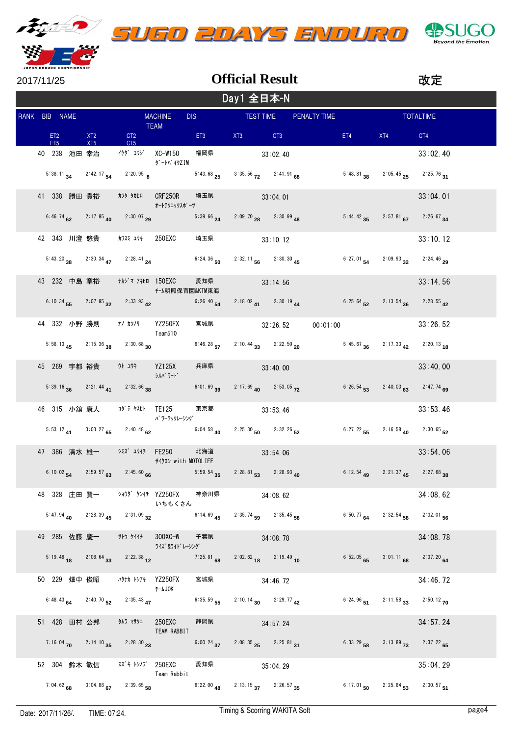

| 2017/11/25 |  |
|------------|--|

|               | Day1 全日本-N |                 |                   |                                 |                                                                           |                                                        |                                              |  |                                                                         |                                                                                                                                                                                                                                |                                        |                  |       |
|---------------|------------|-----------------|-------------------|---------------------------------|---------------------------------------------------------------------------|--------------------------------------------------------|----------------------------------------------|--|-------------------------------------------------------------------------|--------------------------------------------------------------------------------------------------------------------------------------------------------------------------------------------------------------------------------|----------------------------------------|------------------|-------|
| RANK BIB NAME |            |                 |                   |                                 | <b>TEAM</b>                                                               | <b>MACHINE</b>                                         |                                              |  | DIS TEST TIME PENALTY TIME                                              |                                                                                                                                                                                                                                |                                        | <b>TOTALTIME</b> |       |
|               |            | ET <sub>5</sub> | ET2 and the state | XT <sub>2</sub><br>XT5          |                                                                           | <b>CT2</b><br>CT5                                      | ET3 Participation                            |  | XT3 CT3                                                                 | ET4 and the state of the state of the state of the state of the state of the state of the state of the state of the state of the state of the state of the state of the state of the state of the state of the state of the st | XT4                                    | CT4              |       |
|               |            |                 |                   |                                 |                                                                           | ダートバ イクZIM                                             | 福岡県 33:02.40                                 |  |                                                                         |                                                                                                                                                                                                                                |                                        | 33:02.40         |       |
|               |            |                 |                   |                                 |                                                                           | 5:38.11 <b>34</b> 2:42.17 <b>54</b> 2:20.95 <b>8</b>   | $5:43.68$ 25                                 |  | $3:35.56$ $72$ $2:41.91$ 68                                             |                                                                                                                                                                                                                                | 5:48.81 38 2:05.45 25 2:25.76 31       |                  |       |
|               |            |                 |                   |                                 |                                                                           | オートテクニックスポ゜ーツ                                          | 埼玉県 33:04.01                                 |  |                                                                         |                                                                                                                                                                                                                                |                                        | 33:04.01         |       |
|               |            |                 |                   |                                 | 6:46.74 $\frac{62}{2}$ 2:17.95 $\frac{40}{2}$ 2:30.07 $\frac{29}{29}$     |                                                        | $5:39.66$ <sub>24</sub>                      |  | $2:09.70$ $28$ $2:30.99$ $48$                                           |                                                                                                                                                                                                                                | 5:44.42 $35$ 2:57.81 $67$ 2:26.67 $34$ |                  |       |
|               |            |                 |                   |                                 |                                                                           | 42 343 川澄 悠貴 カワスミュウキ 250EXC 埼玉県 33:10.12               |                                              |  |                                                                         |                                                                                                                                                                                                                                |                                        | 33:10.12         |       |
|               |            |                 |                   |                                 | 5:43.20 38 2:30.34 47 2:28.41 24                                          |                                                        | 6:24.36 50 2:32.11 56 2:30.30 45             |  |                                                                         |                                                                                                                                                                                                                                | 6:27.01 54 2:09.93 32 2:24.46 29       |                  |       |
|               |            |                 |                   |                                 |                                                                           | チーム明照保育園&KTM東海                                         | 愛知県 33:14.56                                 |  |                                                                         |                                                                                                                                                                                                                                |                                        | 33:14.56         |       |
|               |            |                 |                   |                                 | 6:10.34 $\frac{1}{55}$ 2:07.95 $\frac{32}{22}$ 2:33.93 $\frac{42}{2}$     |                                                        |                                              |  | 6:26.40 54 2:18.02 41 2:30.19 44                                        | 6:25.64 52 2:13.54 36 2:28.55 42                                                                                                                                                                                               |                                        |                  |       |
|               |            |                 |                   |                                 | 44 332 小野 勝則 オノ カツノリ YZ250FX                                              | Team510                                                |                                              |  | 宮城県 32:26.52 00:01:00                                                   |                                                                                                                                                                                                                                |                                        | 33:26.52         |       |
|               |            |                 |                   |                                 | 5:58.13 $45$ 2:15.36 $38$ 2:30.68 $30$                                    |                                                        |                                              |  |                                                                         | 6:46.28 57 2:10.44 33 2:22.50 20 5:45.67 36 2:17.33 42 2:20.13 18                                                                                                                                                              |                                        |                  |       |
|               |            |                 |                   |                                 |                                                                           | シルバラード                                                 | 兵庫県 33:40.00                                 |  |                                                                         |                                                                                                                                                                                                                                |                                        | 33:40.00         |       |
|               |            |                 |                   |                                 | 5:39.16 36 2:21.44 41 2:32.66 38                                          |                                                        | $6:01.69$ 39                                 |  | 2:17.69 40 2:53.05 72                                                   |                                                                                                                                                                                                                                | $6:26.54$ 53 $2:40.03$ 63 $2:47.74$ 69 |                  |       |
|               |            |                 |                   |                                 | 46 315 小舘 康人 コダテヤスヒト TE125                                                | パ ワーテックレーシング                                           | 東京都 33:53.46                                 |  |                                                                         |                                                                                                                                                                                                                                |                                        | 33:53.46         |       |
|               |            |                 |                   |                                 | 5:53.12 41 3:03.27 65 2:40.48 62                                          |                                                        | $6:04.58$ <sub>40</sub>                      |  | $2:25.30$ 50 $2:32.26$ 52                                               |                                                                                                                                                                                                                                | 6:27.22 55 2:16.58 40 2:30.65 52       |                  |       |
|               |            |                 |                   |                                 | 47 386 清水雄一 ※ズュウイチ FE250                                                  | サイクロン with MOTOLIFE                                    | 北海道 33:54.06                                 |  |                                                                         |                                                                                                                                                                                                                                |                                        | 33:54.06         |       |
|               |            |                 |                   |                                 | 6:10.02 54 2:59.57 63 2:45.60 66                                          |                                                        | $5:59.54$ $35$ $2:28.81$ $53$ $2:28.93$ $40$ |  |                                                                         | <b>Contract Contract</b>                                                                                                                                                                                                       | 6:12.54 49 2:21.37 45 2:27.68 38       |                  |       |
|               |            |                 |                   |                                 |                                                                           | 48 328 庄田 賢一 ショウダ ケンイチ YZ250FX 神奈川県 34:08.62<br>いちもくさん |                                              |  |                                                                         |                                                                                                                                                                                                                                |                                        | 34:08.62         |       |
|               |            |                 |                   |                                 | 5:47.94 40 2:28.39 45 2:31.09 32                                          |                                                        | 6:14.69 $45$ 2:35.74 $59$ 2:35.45 $58$       |  |                                                                         |                                                                                                                                                                                                                                | 6:50.77 64 2:32.54 58 2:32.01 56       |                  |       |
|               |            |                 |                   |                                 |                                                                           | ライズ &ライト゛レーシング゛                                        | 千葉県                                          |  | 34:08.78                                                                |                                                                                                                                                                                                                                |                                        | 34:08.78         |       |
|               |            |                 |                   |                                 | 5:19.48 18 2:08.64 33 2:22.38 12                                          |                                                        | 7:25.81 68 2:02.62 18 2:19.49 10             |  |                                                                         |                                                                                                                                                                                                                                | 6:52.05 65 3:01.11 68 2:37.20 64       |                  |       |
|               |            |                 |                   | 50 229 畑中俊昭                     | ハタナカ トシアキ YZ250FX                                                         | <b>F-LJOK</b>                                          | 宮城県                                          |  | 34:46.72                                                                |                                                                                                                                                                                                                                |                                        | 34:46.72         |       |
|               |            |                 |                   |                                 | 6:48.43 64 2:40.70 52 2:35.43 47                                          |                                                        | 6:35.59 55 2:10.14 30 2:29.77 42             |  |                                                                         |                                                                                                                                                                                                                                | 6:24.96 51 2:11.58 33 2:50.12 70       |                  |       |
|               |            |                 |                   |                                 | 51 428 田村 公邦 外5 マサクニ 250EXC                                               | TEAM RABBIT                                            | 静岡県 34:57.24                                 |  |                                                                         |                                                                                                                                                                                                                                |                                        | 34:57.24         |       |
|               |            |                 |                   |                                 | 7:16.04 $\frac{}{\times}$ 2:14.10 $\frac{35}{35}$ 2:28.30 $\frac{23}{35}$ |                                                        | 6:00.24 $37$ 2:08.35 $25$ 2:25.81 $31$       |  |                                                                         |                                                                                                                                                                                                                                | 6:33.29 58 3:13.89 73 2:37.22 65       |                  |       |
|               |            |                 |                   |                                 | 52 304 鈴木 敏信 スズキトシノブ 250EXC                                               | Team Rabbit                                            | 愛知県                                          |  | 35:04.29                                                                |                                                                                                                                                                                                                                |                                        | 35:04.29         |       |
|               |            |                 |                   |                                 | 7:04.62 68 3:04.88 67 2:39.65 58                                          |                                                        |                                              |  | 6:22.00 $\overline{48}$ 2:13.15 $\overline{37}$ 2:26.57 $\overline{35}$ |                                                                                                                                                                                                                                | 6:17.01 50 2:25.84 53 2:30.57 51       |                  |       |
|               |            |                 |                   | Date: 2017/11/26/. TIME: 07:24. |                                                                           |                                                        |                                              |  | Timing & Scorring WAKITA Soft                                           |                                                                                                                                                                                                                                |                                        |                  | page4 |

**Official Result**

改定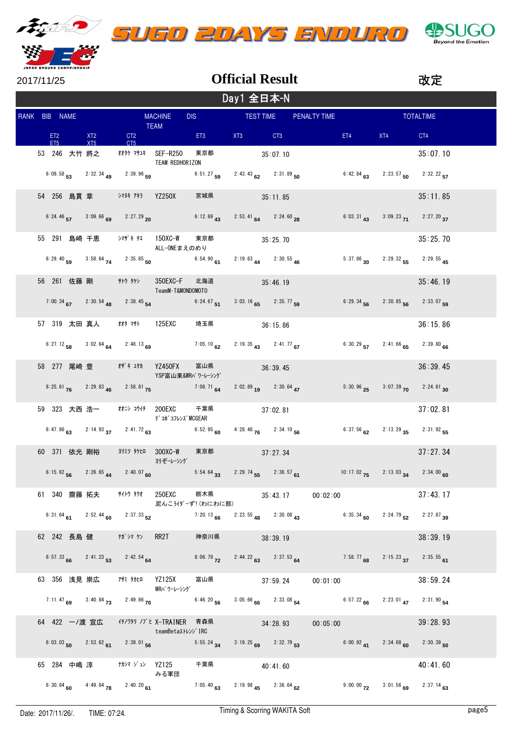



**Official Result**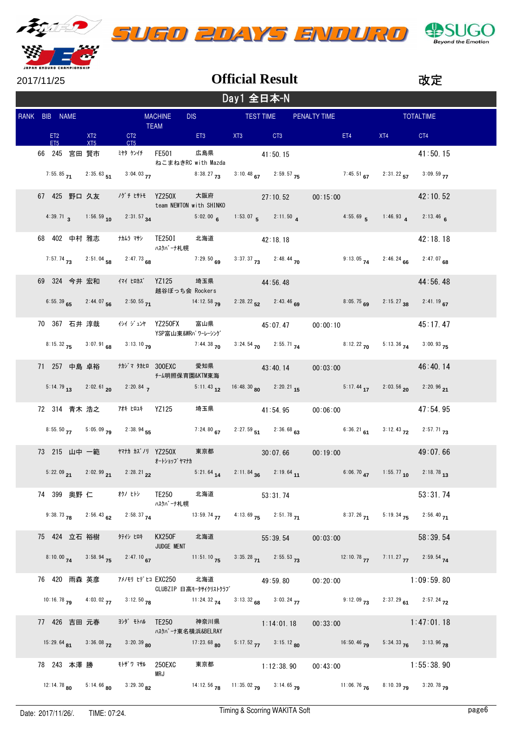

|  | UGO 20AYS ENDURO |
|--|------------------|
|  |                  |



| JAPAN ENDURO CHAMPIONSHIP        |     |                                                        |                                                                                                   |               |                        |                                                                                                                                                                        |          |         |                                  |                  |  |
|----------------------------------|-----|--------------------------------------------------------|---------------------------------------------------------------------------------------------------|---------------|------------------------|------------------------------------------------------------------------------------------------------------------------------------------------------------------------|----------|---------|----------------------------------|------------------|--|
| 2017/11/25                       |     |                                                        |                                                                                                   |               | <b>Official Result</b> |                                                                                                                                                                        |          |         |                                  | 改定               |  |
|                                  |     |                                                        |                                                                                                   |               | Day1 全日本-N             |                                                                                                                                                                        |          |         |                                  |                  |  |
| RANK BIB NAME                    |     |                                                        | <b>MACHINE</b>                                                                                    |               |                        | DIS TEST TIME PENALTY TIME                                                                                                                                             |          |         |                                  | <b>TOTALTIME</b> |  |
| ET2 XT2<br>FT <sub>5</sub>       | XT5 | CT <sub>5</sub>                                        | <b>TEAM</b>                                                                                       |               |                        | CT2 ET3 XT3 CT3                                                                                                                                                        |          | ET4 and | XT4                              | CT4              |  |
| 66 245 宮田 賢市 ミヤタ ケンイチ FE501      |     |                                                        | ねこまねきRC with Mazda                                                                                | 広島県           |                        | 41:50.15                                                                                                                                                               |          |         |                                  | 41:50.15         |  |
|                                  |     |                                                        |                                                                                                   |               |                        | 7:55.85 71 2:35.63 51 3:04.03 77 8:38.27 73 3:10.48 67 2:59.57 75 7:45.51 67 2:31.22 57 3:09.59 77                                                                     |          |         |                                  |                  |  |
| 67 425 野口 久友    ノグチ ヒサトモ YZ250X  |     |                                                        | team NEWTON with SHINKO                                                                           |               |                        | 大阪府 27:10.52                                                                                                                                                           | 00:15:00 |         |                                  | 42:10.52         |  |
|                                  |     |                                                        |                                                                                                   |               |                        | 4:39.71 3 1:56.59 10 2:31.57 34 5:02.00 6 1:53.07 5 2:11.50 4 4:55.69 5 1:46.93 4 2:13.46 6                                                                            |          |         |                                  |                  |  |
|                                  |     |                                                        | ハスクバーナ札幌                                                                                          | 北海道 42:18.18  |                        |                                                                                                                                                                        |          |         |                                  | 42:18.18         |  |
|                                  |     |                                                        | 7:57.74 <b>73</b> 2:51.04 <b>58</b> 2:47.73  68  7:29.50  69  3:37.37 <b>73</b> 2:48.44 <b>70</b> |               |                        |                                                                                                                                                                        |          |         | 9:13.05 74 2:46.24 66 2:47.07 68 |                  |  |
| 69 324 今井 宏和 イマイ ヒロカズ YZ125      |     |                                                        | 越谷ぼっち会 Rockers                                                                                    | 埼玉県           | 44:56.48               |                                                                                                                                                                        |          |         |                                  | 44:56.48         |  |
|                                  |     |                                                        |                                                                                                   |               |                        | 6:55.39 65 2:44.07 56 2:50.55 71 14:12.58 79 2:28.22 52 2:43.46 69                                                                                                     |          |         | 8:05.75 69 2:15.27 38 2:41.19 67 |                  |  |
| 70 367 石井 淳哉 イジィジュンヤ YZ250FX     |     |                                                        | YSP富山東&WRパワーレーシング                                                                                 | 富山県           |                        | 45:07.47                                                                                                                                                               | 00:00:10 |         |                                  | 45:17.47         |  |
|                                  |     |                                                        |                                                                                                   |               |                        | 8:15.32 75 3:07.91 68 3:13.10 79 7:44.38 70 3:24.54 70 2:55.71 74 8:12.22 70 5:13.36 74 3:00.93 75                                                                     |          |         |                                  |                  |  |
| 71 257 中島 卓裕 ナカジマ タカヒロ 300EXC    |     |                                                        | チーム明照保育園&KTM東海                                                                                    | 愛知県           |                        | 43:40.14                                                                                                                                                               | 00:03:00 |         |                                  | 46:40.14         |  |
|                                  |     |                                                        |                                                                                                   |               |                        | 5:11.43 1 $2:02.61$ 20 $2:20.84$ 7 $5:11.43$ 12 $16:48.30$ 80 $2:20.21$ 15 $5:17.44$ 17 $2:03.56$ 20 $2:20.96$ 21                                                      |          |         |                                  |                  |  |
| 72 314 青木 浩之 7# ヒロユキ YZ125       |     |                                                        |                                                                                                   |               |                        | 埼玉県 イ1:54.95                                                                                                                                                           | 00:06:00 |         |                                  | 47:54.95         |  |
|                                  |     |                                                        |                                                                                                   |               |                        | 8:55.50 77 5:05.09 79 2:38.94 55 7:24.80 67 2:27.59 51 2:36.68 63 6:36.21 61 3:12.43 72 2:57.71 73                                                                     |          |         |                                  |                  |  |
| 73 215 山中 一範 ヤオカ カズノリ YZ250X     |     |                                                        | オートショッフ゛ヤマナカ                                                                                      | 東京都           |                        | 30:07.66                                                                                                                                                               | 00:19:00 |         |                                  | 49:07.66         |  |
|                                  |     |                                                        |                                                                                                   |               |                        | 5:22.09 21 2:02.99 21 2:28.21 22 5:21.64 14 2:11.84 36 2:19.64 11 6:06.70 17 1:55.77 10 2:18.78 13                                                                     |          |         |                                  |                  |  |
| 74 399 奥野 仁     オクノ ヒトシ   TE250  |     |                                                        | ハスクバーナ札幌                                                                                          | 北海道           |                        | 53:31.74                                                                                                                                                               |          |         |                                  | 53:31.74         |  |
|                                  |     |                                                        |                                                                                                   |               |                        | 9:38.73 <b>78</b> 2:56.43 <b>62</b> 2:58.37 <b>74</b> 13:59.74 <b>13:59.74 13:59 <b>75</b> 2:51.78 <b>71</b> 8:37.26 <b>71</b> 5:19.34 <b>75</b> 2:56.40 <b>71</b></b> |          |         |                                  |                  |  |
|                                  |     |                                                        | <b>KX250F</b><br>JUDGE MENT                                                                       | 北海道           |                        | 55:39.54                                                                                                                                                               | 00:03:00 |         |                                  | 58:39.54         |  |
|                                  |     |                                                        |                                                                                                   |               |                        | 8:10.00 74 3:58.94 75 2:47.10 67 11:51.10 75 3:35.28 71 2:55.53 73 12:10.78 77 7:11.27 77 2:59.54 74                                                                   |          |         |                                  |                  |  |
| 76 420 雨森 英彦 - アメノモリ ヒデヒコ EXC250 |     |                                                        | CLUBZIP 日高モータサイクリストクラブ                                                                            | 北海道           |                        | 49:59.80                                                                                                                                                               | 00:20:00 |         |                                  | 1:09:59.80       |  |
|                                  |     |                                                        |                                                                                                   |               |                        | 10:16.78 79 4:03.02 77 3:12.50 78 11:24.32 74 3:13.32 68 3:03.24 77 9:12.09 73 2:37.29 61 2:57.24 72                                                                   |          |         |                                  |                  |  |
| 77 426 吉田 元春<br>329' モトハル TE250  |     |                                                        | ハスクバーナ東名横浜&BELRAY                                                                                 | 神奈川県          |                        | 1:14:01.18                                                                                                                                                             | 00:33:00 |         |                                  | 1:47:01.18       |  |
|                                  |     | 15:29.64 81 3:36.08 72 3:20.39 80                      |                                                                                                   | $17:23.68$ 80 |                        | $5:17.52$ $77$ $3:15.12$ 80 $16:50.46$ $79$ $5:34.33$ $76$ $3:13.96$ $78$                                                                                              |          |         |                                  |                  |  |
| 78 243 本澤 勝 モトザリ マサル 250EXC      |     |                                                        | MRJ                                                                                               | 東京都           |                        | 1:12:38.90                                                                                                                                                             | 00:43:00 |         |                                  | 1:55:38.90       |  |
|                                  |     | 12:14.78 <b>80</b> 5:14.66 <b>80</b> 3:29.30 <b>82</b> |                                                                                                   |               |                        | 14:12.56 $\frac{13.56}{78}$ 11:35.02 $\frac{13.14}{79}$ 3:14.65 $\frac{13.56}{79}$ 11:06.76 $\frac{13.56}{76}$ 8:10.39 $\frac{13.20}{79}$ 3:20.78 $\frac{13.56}{79}$   |          |         |                                  |                  |  |